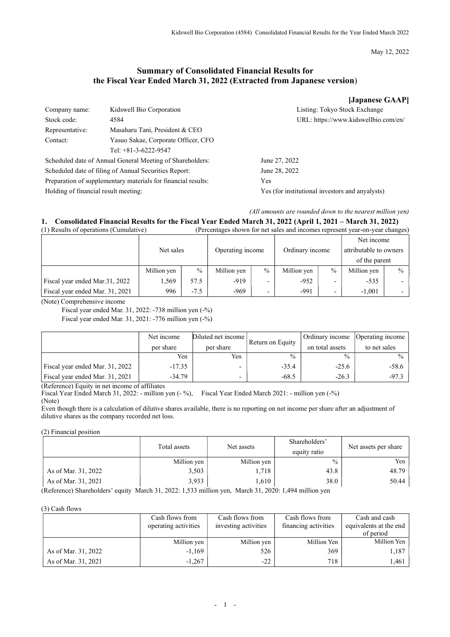May 12, 2022

# Summary of Consolidated Financial Results for the Fiscal Year Ended March 31, 2022 (Extracted from Japanese version)

|                                      |                                                               | [Japanese GAAP]                                 |
|--------------------------------------|---------------------------------------------------------------|-------------------------------------------------|
| Company name:                        | Kidswell Bio Corporation                                      | Listing: Tokyo Stock Exchange                   |
| Stock code:                          | 4584                                                          | URL: https://www.kidswellbio.com/en/            |
| Representative:                      | Masaharu Tani, President & CEO                                |                                                 |
| Contact:                             | Yasuo Sakae, Corporate Officer, CFO                           |                                                 |
|                                      | Tel: $+81-3-6222-9547$                                        |                                                 |
|                                      | Scheduled date of Annual General Meeting of Shareholders:     | June 27, 2022                                   |
|                                      | Scheduled date of filing of Annual Securities Report:         | June 28, 2022                                   |
|                                      | Preparation of supplementary materials for financial results: | Yes                                             |
| Holding of financial result meeting: |                                                               | Yes (for institutional investors and anyalysts) |

## (All amounts are rounded down to the nearest million yen)

### 1. Consolidated Financial Results for the Fiscal Year Ended March 31, 2022 (April 1, 2021 – March 31, 2022)<br>(1) Results of operations (Cumulative)<br>(Percentages shown for net sales and incomes represent year-on-year change (Percentages shown for net sales and incomes represent year-on-year changes)

|                                 |             |      | $\sim$           |                          |                 |               |                        |               |
|---------------------------------|-------------|------|------------------|--------------------------|-----------------|---------------|------------------------|---------------|
|                                 |             |      |                  |                          |                 |               | Net income             |               |
|                                 | Net sales   |      | Operating income |                          | Ordinary income |               | attributable to owners |               |
|                                 |             |      |                  |                          |                 |               | of the parent          |               |
|                                 | Million yen | $\%$ | Million yen      | $\%$                     | Million yen     | $\frac{0}{0}$ | Million yen            | $\frac{0}{0}$ |
| Fiscal year ended Mar.31, 2022  | .569        | 57.5 | $-919$           | $\overline{\phantom{0}}$ | $-952$          |               | $-535$                 |               |
| Fiscal year ended Mar. 31, 2021 | 996         | -7.5 | $-969$           | $\overline{\phantom{0}}$ | $-991$          |               | $-1,001$               |               |

(Note) Comprehensive income

Fiscal year ended Mar. 31, 2022: -738 million yen (-%) Fiscal year ended Mar. 31, 2021: -776 million yen (-%)

|                                 | Net income<br>per share | Diluted net income<br>per share | Return on Equity | Ordinary income<br>on total assets | Operating income<br>to net sales |
|---------------------------------|-------------------------|---------------------------------|------------------|------------------------------------|----------------------------------|
|                                 | Yen                     | Yen                             | $\frac{0}{0}$    | $\frac{0}{0}$                      | $\frac{0}{0}$                    |
| Fiscal year ended Mar. 31, 2022 | $-17.35$                |                                 | $-35.4$          | $-25.6$                            | -58.6                            |
| Fiscal year ended Mar. 31, 2021 | $-34.79$                | -                               | $-68.5$          | $-26.3$                            | $-97.3$                          |

(Reference) Equity in net income of affiliates

Fiscal Year Ended March 31, 2022: - million yen (- %), Fiscal Year Ended March 2021: - million yen (-%) (Note)

Even though there is a calculation of dilutive shares available, there is no reporting on net income per share after an adjustment of dilutive shares as the company recorded net loss.

(2) Financial position

|                     | Total assets | Net assets  | Shareholders'<br>equity ratio | Net assets per share |
|---------------------|--------------|-------------|-------------------------------|----------------------|
|                     | Million yen  | Million yen | $\frac{0}{0}$                 | Yen                  |
| As of Mar. 31, 2022 | 3,503        | 1,718       | 43.8                          | 48.79                |
| As of Mar. 31, 2021 | 3.933        | 1.610       | 38.0                          | 50.44                |

(Reference) Shareholders' equity March 31, 2022: 1,533 million yen, March 31, 2020: 1,494 million yen

(3) Cash flows

|                     | Cash flows from<br>operating activities | Cash flows from<br>investing activities | Cash flows from<br>financing activities | Cash and cash<br>equivalents at the end<br>of period |
|---------------------|-----------------------------------------|-----------------------------------------|-----------------------------------------|------------------------------------------------------|
|                     | Million yen                             | Million yen                             | Million Yen                             | Million Yen                                          |
| As of Mar. 31, 2022 | $-1,169$                                | 526                                     | 369                                     | 1,187                                                |
| As of Mar. 31, 2021 | $-1.267$                                | $-22$                                   | 718                                     | 1.461                                                |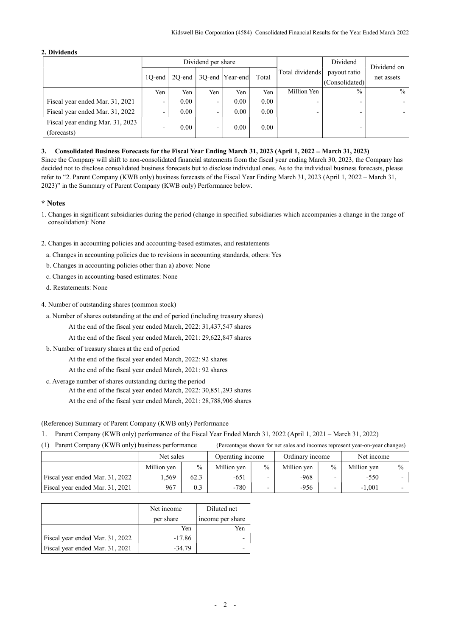## 2. Dividends

|                                                 | Dividend per share |           |     |                  |       | Dividend                 | Dividend on                    |               |  |
|-------------------------------------------------|--------------------|-----------|-----|------------------|-------|--------------------------|--------------------------------|---------------|--|
|                                                 | 10-end             | $2O$ -end |     | 3Q-end  Year-end | Total | Total dividends          | payout ratio<br>(Consolidated) | net assets    |  |
|                                                 | Yen                | Yen       | Yen | Yen              | Yen   | Million Yen              | $\frac{0}{0}$                  | $\frac{0}{0}$ |  |
| Fiscal year ended Mar. 31, 2021                 |                    | 0.00      | -   | 0.00             | 0.00  | $\overline{\phantom{0}}$ |                                |               |  |
| Fiscal year ended Mar. 31, 2022                 |                    | 0.00      | -   | 0.00             | 0.00  | $\overline{\phantom{a}}$ |                                |               |  |
| Fiscal year ending Mar. 31, 2023<br>(forecasts) | -                  | 0.00      | -   | 0.00             | 0.00  |                          |                                |               |  |

## 3. Consolidated Business Forecasts for the Fiscal Year Ending March 31, 2023 (April 1, 2022 – March 31, 2023)

Since the Company will shift to non-consolidated financial statements from the fiscal year ending March 30, 2023, the Company has decided not to disclose consolidated business forecasts but to disclose individual ones. As to the individual business forecasts, please refer to "2. Parent Company (KWB only) business forecasts of the Fiscal Year Ending March 31, 2023 (April 1, 2022 – March 31, 2023)" in the Summary of Parent Company (KWB only) Performance below.

## \* Notes

1. Changes in significant subsidiaries during the period (change in specified subsidiaries which accompanies a change in the range of consolidation): None

2. Changes in accounting policies and accounting-based estimates, and restatements

- a. Changes in accounting policies due to revisions in accounting standards, others: Yes
- b. Changes in accounting policies other than a) above: None
- c. Changes in accounting-based estimates: None

d. Restatements: None

4. Number of outstanding shares (common stock)

- a. Number of shares outstanding at the end of period (including treasury shares)
	- At the end of the fiscal year ended March, 2022: 31,437,547 shares
	- At the end of the fiscal year ended March, 2021: 29,622,847 shares
- b. Number of treasury shares at the end of period
	- At the end of the fiscal year ended March, 2022: 92 shares
	- At the end of the fiscal year ended March, 2021: 92 shares
- c. Average number of shares outstanding during the period At the end of the fiscal year ended March, 2022: 30,851,293 shares At the end of the fiscal year ended March, 2021: 28,788,906 shares

(Reference) Summary of Parent Company (KWB only) Performance

1. Parent Company (KWB only) performance of the Fiscal Year Ended March 31, 2022 (April 1, 2021 – March 31, 2022)

(1) Parent Company (KWB only) business performance (Percentages shown for net sales and incomes represent year-on-year changes)

|                                 | Net sales   |      | Operating income |               | Ordinary income |      | Net income  |               |
|---------------------------------|-------------|------|------------------|---------------|-----------------|------|-------------|---------------|
|                                 | Million yen | $\%$ | Million yen      | $\frac{0}{0}$ | Million yen     | $\%$ | Million yen | $\frac{0}{0}$ |
| Fiscal year ended Mar. 31, 2022 | .569        | 62.3 | $-651$           |               | -968            |      | $-550$      |               |
| Fiscal year ended Mar. 31, 2021 | 967         | 0.3  | $-780$           |               | -956            |      | $-1.001$    |               |

|                                 | Net income | Diluted net      |
|---------------------------------|------------|------------------|
|                                 | per share  | income per share |
|                                 | Yen        | Yen              |
| Fiscal year ended Mar. 31, 2022 | $-17.86$   |                  |
| Fiscal year ended Mar. 31, 2021 | $-34.79$   |                  |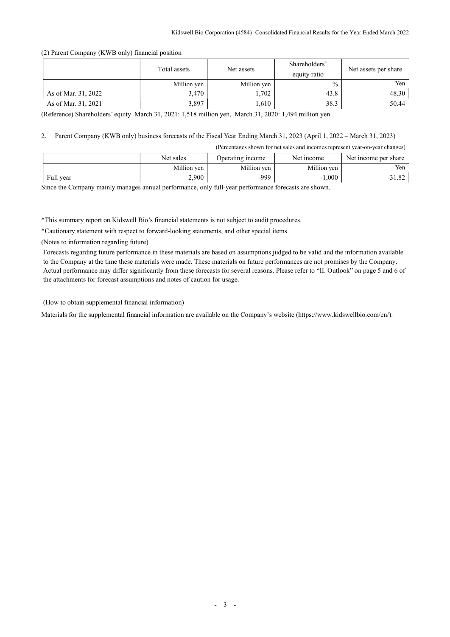(2) Parent Company (KWB only) financial position

|                     | Total assets | Net assets  | Shareholders'<br>equity ratio | Net assets per share |
|---------------------|--------------|-------------|-------------------------------|----------------------|
|                     | Million yen  | Million yen | $\frac{0}{0}$                 | Yen                  |
| As of Mar. 31, 2022 | 3,470        | 1,702       | 43.8                          | 48.30                |
| As of Mar. 31, 2021 | 3.897        | .,610       | 38.3                          | 50.44                |

(Reference) Shareholders' equity March 31, 2021: 1,518 million yen, March 31, 2020: 1,494 million yen

# 2. Parent Company (KWB only) business forecasts of the Fiscal Year Ending March 31, 2023 (April 1, 2022 – March 31, 2023)

(Percentages shown for net sales and incomes represent year-on-year changes)

|           | Net sales   | Operating income | Net income  | Net income per share |
|-----------|-------------|------------------|-------------|----------------------|
|           | Million yen | Million yen      | Million yen | Yen                  |
| Full year | 2,900       | -999             | $-1,000$    | $-31.82$             |

Since the Company mainly manages annual performance, only full-year performance forecasts are shown.

\*This summary report on Kidswell Bio's financial statements is not subject to audit procedures.

\*Cautionary statement with respect to forward-looking statements, and other special items

(Notes to information regarding future)

Forecasts regarding future performance in these materials are based on assumptions judged to be valid and the information available to the Company at the time these materials were made. These materials on future performances are not promises by the Company. Actual performance may differ significantly from these forecasts for several reasons. Please refer to "II. Outlook" on page 5 and 6 of the attachments for forecast assumptions and notes of caution for usage.

(How to obtain supplemental financial information)

Materials for the supplemental financial information are available on the Company's website (https://www.kidswellbio.com/en/).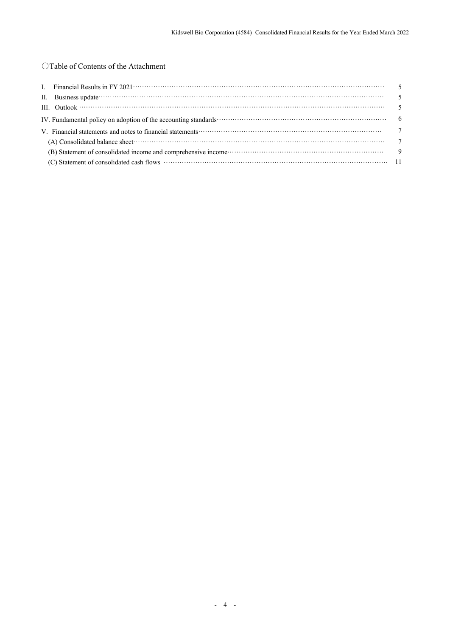# ○Table of Contents of the Attachment

| II. Business update $\cdots$ and $\cdots$ is a set of the set of the set of the set of the set of the set of the set of the set of the set of the set of the set of the set of the set of the set of the set of the set of the set |  |
|------------------------------------------------------------------------------------------------------------------------------------------------------------------------------------------------------------------------------------|--|
|                                                                                                                                                                                                                                    |  |
| IV. Fundamental policy on adoption of the accounting standards contract to the control of the second standards of the accounting standards of the second standards of the second standards of the second standards of the seco     |  |
| V. Financial statements and notes to financial statements contract to contact the contract of the contract of the contract of the contract of the contract of the contract of the contract of the contract of the contract of      |  |
|                                                                                                                                                                                                                                    |  |
| (B) Statement of consolidated income and comprehensive income contract to the statement of consolidated income and comprehensive income contract to the statement of consolidated income and comprehensive income contract to      |  |
|                                                                                                                                                                                                                                    |  |
|                                                                                                                                                                                                                                    |  |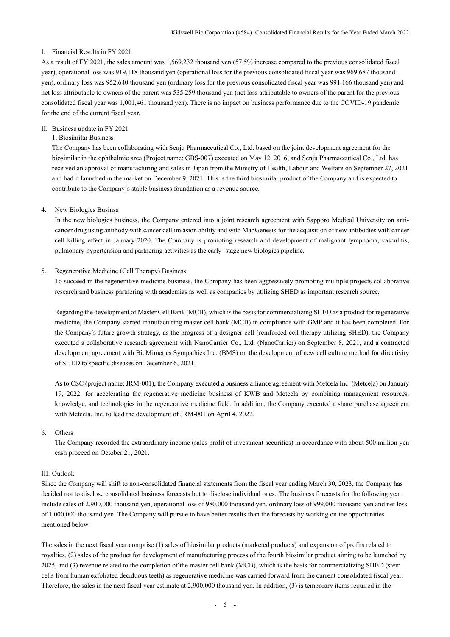## I. Financial Results in FY 2021

As a result of FY 2021, the sales amount was 1,569,232 thousand yen (57.5% increase compared to the previous consolidated fiscal year), operational loss was 919,118 thousand yen (operational loss for the previous consolidated fiscal year was 969,687 thousand yen), ordinary loss was 952,640 thousand yen (ordinary loss for the previous consolidated fiscal year was 991,166 thousand yen) and net loss attributable to owners of the parent was 535,259 thousand yen (net loss attributable to owners of the parent for the previous consolidated fiscal year was 1,001,461 thousand yen). There is no impact on business performance due to the COVID-19 pandemic for the end of the current fiscal year.

## II. Business update in FY 2021

## 1. Biosimilar Business

The Company has been collaborating with Senju Pharmaceutical Co., Ltd. based on the joint development agreement for the biosimilar in the ophthalmic area (Project name: GBS-007) executed on May 12, 2016, and Senju Pharmaceutical Co., Ltd. has received an approval of manufacturing and sales in Japan from the Ministry of Health, Labour and Welfare on September 27, 2021 and had it launched in the market on December 9, 2021. This is the third biosimilar product of the Company and is expected to contribute to the Company's stable business foundation as a revenue source.

### 4. New Biologics Businss

In the new biologics business, the Company entered into a joint research agreement with Sapporo Medical University on anticancer drug using antibody with cancer cell invasion ability and with MabGenesis for the acquisition of new antibodies with cancer cell killing effect in January 2020. The Company is promoting research and development of malignant lymphoma, vasculitis, pulmonary hypertension and partnering activities as the early- stage new biologics pipeline.

## 5. Regenerative Medicine (Cell Therapy) Business

To succeed in the regenerative medicine business, the Company has been aggressively promoting multiple projects collaborative research and business partnering with academias as well as companies by utilizing SHED as important research source.

Regarding the development of Master Cell Bank (MCB), which is the basis for commercializing SHED as a product for regenerative medicine, the Company started manufacturing master cell bank (MCB) in compliance with GMP and it has been completed. For the Company's future growth strategy, as the progress of a designer cell (reinforced cell therapy utilizing SHED), the Company executed a collaborative research agreement with NanoCarrier Co., Ltd. (NanoCarrier) on September 8, 2021, and a contracted development agreement with BioMimetics Sympathies Inc. (BMS) on the development of new cell culture method for directivity of SHED to specific diseases on December 6, 2021.

As to CSC (project name: JRM-001), the Company executed a business alliance agreement with Metcela Inc. (Metcela) on January 19, 2022, for accelerating the regenerative medicine business of KWB and Metcela by combining management resources, knowledge, and technologies in the regenerative medicine field. In addition, the Company executed a share purchase agreement with Metcela, Inc. to lead the development of JRM-001 on April 4, 2022.

#### 6. Others

The Company recorded the extraordinary income (sales profit of investment securities) in accordance with about 500 million yen cash proceed on October 21, 2021.

#### III. Outlook

Since the Company will shift to non-consolidated financial statements from the fiscal year ending March 30, 2023, the Company has decided not to disclose consolidated business forecasts but to disclose individual ones. The business forecasts for the following year include sales of 2,900,000 thousand yen, operational loss of 980,000 thousand yen, ordinary loss of 999,000 thousand yen and net loss of 1,000,000 thousand yen. The Company will pursue to have better results than the forecasts by working on the opportunities mentioned below.

The sales in the next fiscal year comprise (1) sales of biosimilar products (marketed products) and expansion of profits related to royalties, (2) sales of the product for development of manufacturing process of the fourth biosimilar product aiming to be launched by 2025, and (3) revenue related to the completion of the master cell bank (MCB), which is the basis for commercializing SHED (stem cells from human exfoliated deciduous teeth) as regenerative medicine was carried forward from the current consolidated fiscal year. Therefore, the sales in the next fiscal year estimate at 2,900,000 thousand yen. In addition, (3) is temporary items required in the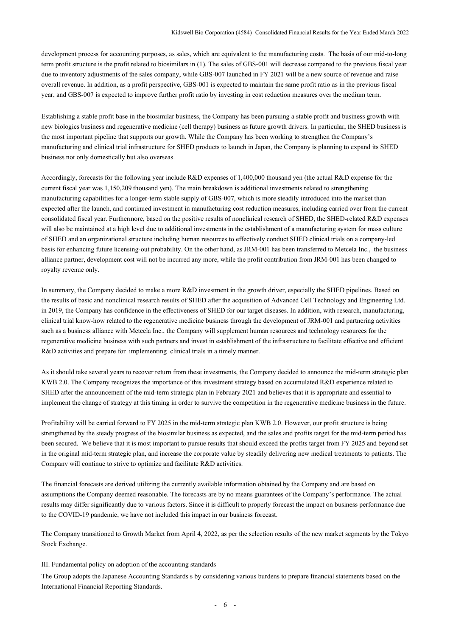development process for accounting purposes, as sales, which are equivalent to the manufacturing costs. The basis of our mid-to-long term profit structure is the profit related to biosimilars in (1). The sales of GBS-001 will decrease compared to the previous fiscal year due to inventory adjustments of the sales company, while GBS-007 launched in FY 2021 will be a new source of revenue and raise overall revenue. In addition, as a profit perspective, GBS-001 is expected to maintain the same profit ratio as in the previous fiscal year, and GBS-007 is expected to improve further profit ratio by investing in cost reduction measures over the medium term.

Establishing a stable profit base in the biosimilar business, the Company has been pursuing a stable profit and business growth with new biologics business and regenerative medicine (cell therapy) business as future growth drivers. In particular, the SHED business is the most important pipeline that supports our growth. While the Company has been working to strengthen the Company's manufacturing and clinical trial infrastructure for SHED products to launch in Japan, the Company is planning to expand its SHED business not only domestically but also overseas.

Accordingly, forecasts for the following year include R&D expenses of 1,400,000 thousand yen (the actual R&D expense for the current fiscal year was 1,150,209 thousand yen). The main breakdown is additional investments related to strengthening manufacturing capabilities for a longer-term stable supply of GBS-007, which is more steadily introduced into the market than expected after the launch, and continued investment in manufacturing cost reduction measures, including carried over from the current consolidated fiscal year. Furthermore, based on the positive results of nonclinical research of SHED, the SHED-related R&D expenses will also be maintained at a high level due to additional investments in the establishment of a manufacturing system for mass culture of SHED and an organizational structure including human resources to effectively conduct SHED clinical trials on a company-led basis for enhancing future licensing-out probability. On the other hand, as JRM-001 has been transferred to Metcela Inc., the business alliance partner, development cost will not be incurred any more, while the profit contribution from JRM-001 has been changed to royalty revenue only.

In summary, the Company decided to make a more R&D investment in the growth driver, especially the SHED pipelines. Based on the results of basic and nonclinical research results of SHED after the acquisition of Advanced Cell Technology and Engineering Ltd. in 2019, the Company has confidence in the effectiveness of SHED for our target diseases. In addition, with research, manufacturing, clinical trial know-how related to the regenerative medicine business through the development of JRM-001 and partnering activities such as a business alliance with Metcela Inc., the Company will supplement human resources and technology resources for the regenerative medicine business with such partners and invest in establishment of the infrastructure to facilitate effective and efficient R&D activities and prepare for implementing clinical trials in a timely manner.

As it should take several years to recover return from these investments, the Company decided to announce the mid-term strategic plan KWB 2.0. The Company recognizes the importance of this investment strategy based on accumulated R&D experience related to SHED after the announcement of the mid-term strategic plan in February 2021 and believes that it is appropriate and essential to implement the change of strategy at this timing in order to survive the competition in the regenerative medicine business in the future.

Profitability will be carried forward to FY 2025 in the mid-term strategic plan KWB 2.0. However, our profit structure is being strengthened by the steady progress of the biosimilar business as expected, and the sales and profits target for the mid-term period has been secured. We believe that it is most important to pursue results that should exceed the profits target from FY 2025 and beyond set in the original mid-term strategic plan, and increase the corporate value by steadily delivering new medical treatments to patients. The Company will continue to strive to optimize and facilitate R&D activities.

The financial forecasts are derived utilizing the currently available information obtained by the Company and are based on assumptions the Company deemed reasonable. The forecasts are by no means guarantees of the Company's performance. The actual results may differ significantly due to various factors. Since it is difficult to properly forecast the impact on business performance due to the COVID-19 pandemic, we have not included this impact in our business forecast.

The Company transitioned to Growth Market from April 4, 2022, as per the selection results of the new market segments by the Tokyo Stock Exchange.

### III. Fundamental policy on adoption of the accounting standards

The Group adopts the Japanese Accounting Standards s by considering various burdens to prepare financial statements based on the International Financial Reporting Standards.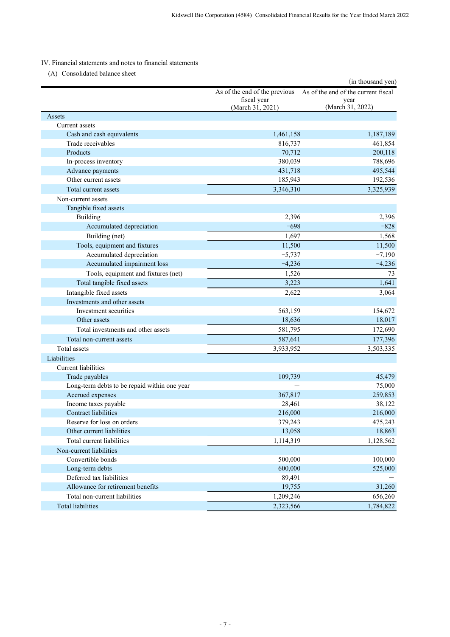# IV. Financial statements and notes to financial statements

(A) Consolidated balance sheet

| As of the end of the previous<br>As of the end of the current fiscal<br>fiscal year<br>year<br>(March 31, 2022)<br>(March 31, 2021)<br>Assets<br>Current assets<br>Cash and cash equivalents<br>1,461,158<br>1,187,189<br>Trade receivables<br>816,737<br>461,854<br>Products<br>70,712<br>200,118<br>In-process inventory<br>380,039<br>788,696<br>495,544<br>Advance payments<br>431,718<br>Other current assets<br>192,536<br>185,943<br>3,325,939<br>Total current assets<br>3,346,310<br>Non-current assets<br>Tangible fixed assets<br>Building<br>2,396<br>2,396<br>Accumulated depreciation<br>$-698$<br>$-828$<br>Building (net)<br>1,697<br>1,568<br>Tools, equipment and fixtures<br>11,500<br>11,500<br>$-7,190$<br>Accumulated depreciation<br>$-5,737$<br>Accumulated impairment loss<br>$-4,236$<br>$-4,236$<br>Tools, equipment and fixtures (net)<br>1,526<br>73<br>Total tangible fixed assets<br>3,223<br>1,641<br>Intangible fixed assets<br>3,064<br>2,622<br>Investments and other assets<br>Investment securities<br>563,159<br>154,672<br>Other assets<br>18,636<br>18,017<br>Total investments and other assets<br>581,795<br>172,690<br>177,396<br>Total non-current assets<br>587,641<br>Total assets<br>3,933,952<br>3,503,335<br>Liabilities<br><b>Current liabilities</b><br>Trade payables<br>109,739<br>45,479<br>Long-term debts to be repaid within one year<br>75,000<br>Accrued expenses<br>367,817<br>259,853<br>Income taxes payable<br>28,461<br>38,122<br><b>Contract liabilities</b><br>216,000<br>216,000<br>379,243<br>475,243<br>Reserve for loss on orders<br>Other current liabilities<br>13,058<br>18,863<br>Total current liabilities<br>1,128,562<br>1,114,319<br>Non-current liabilities<br>500,000<br>100,000<br>Convertible bonds<br>600,000<br>525,000<br>Long-term debts<br>Deferred tax liabilities<br>89,491<br>Allowance for retirement benefits<br>19,755<br>31,260<br>656,260<br>Total non-current liabilities<br>1,209,246<br><b>Total liabilities</b><br>2,323,566<br>1,784,822 |  | (in thousand yen) |
|----------------------------------------------------------------------------------------------------------------------------------------------------------------------------------------------------------------------------------------------------------------------------------------------------------------------------------------------------------------------------------------------------------------------------------------------------------------------------------------------------------------------------------------------------------------------------------------------------------------------------------------------------------------------------------------------------------------------------------------------------------------------------------------------------------------------------------------------------------------------------------------------------------------------------------------------------------------------------------------------------------------------------------------------------------------------------------------------------------------------------------------------------------------------------------------------------------------------------------------------------------------------------------------------------------------------------------------------------------------------------------------------------------------------------------------------------------------------------------------------------------------------------------------------------------------------------------------------------------------------------------------------------------------------------------------------------------------------------------------------------------------------------------------------------------------------------------------------------------------------------------------------------------------------------------------------------------------------------------------------------------------------------------------------|--|-------------------|
|                                                                                                                                                                                                                                                                                                                                                                                                                                                                                                                                                                                                                                                                                                                                                                                                                                                                                                                                                                                                                                                                                                                                                                                                                                                                                                                                                                                                                                                                                                                                                                                                                                                                                                                                                                                                                                                                                                                                                                                                                                              |  |                   |
|                                                                                                                                                                                                                                                                                                                                                                                                                                                                                                                                                                                                                                                                                                                                                                                                                                                                                                                                                                                                                                                                                                                                                                                                                                                                                                                                                                                                                                                                                                                                                                                                                                                                                                                                                                                                                                                                                                                                                                                                                                              |  |                   |
|                                                                                                                                                                                                                                                                                                                                                                                                                                                                                                                                                                                                                                                                                                                                                                                                                                                                                                                                                                                                                                                                                                                                                                                                                                                                                                                                                                                                                                                                                                                                                                                                                                                                                                                                                                                                                                                                                                                                                                                                                                              |  |                   |
|                                                                                                                                                                                                                                                                                                                                                                                                                                                                                                                                                                                                                                                                                                                                                                                                                                                                                                                                                                                                                                                                                                                                                                                                                                                                                                                                                                                                                                                                                                                                                                                                                                                                                                                                                                                                                                                                                                                                                                                                                                              |  |                   |
|                                                                                                                                                                                                                                                                                                                                                                                                                                                                                                                                                                                                                                                                                                                                                                                                                                                                                                                                                                                                                                                                                                                                                                                                                                                                                                                                                                                                                                                                                                                                                                                                                                                                                                                                                                                                                                                                                                                                                                                                                                              |  |                   |
|                                                                                                                                                                                                                                                                                                                                                                                                                                                                                                                                                                                                                                                                                                                                                                                                                                                                                                                                                                                                                                                                                                                                                                                                                                                                                                                                                                                                                                                                                                                                                                                                                                                                                                                                                                                                                                                                                                                                                                                                                                              |  |                   |
|                                                                                                                                                                                                                                                                                                                                                                                                                                                                                                                                                                                                                                                                                                                                                                                                                                                                                                                                                                                                                                                                                                                                                                                                                                                                                                                                                                                                                                                                                                                                                                                                                                                                                                                                                                                                                                                                                                                                                                                                                                              |  |                   |
|                                                                                                                                                                                                                                                                                                                                                                                                                                                                                                                                                                                                                                                                                                                                                                                                                                                                                                                                                                                                                                                                                                                                                                                                                                                                                                                                                                                                                                                                                                                                                                                                                                                                                                                                                                                                                                                                                                                                                                                                                                              |  |                   |
|                                                                                                                                                                                                                                                                                                                                                                                                                                                                                                                                                                                                                                                                                                                                                                                                                                                                                                                                                                                                                                                                                                                                                                                                                                                                                                                                                                                                                                                                                                                                                                                                                                                                                                                                                                                                                                                                                                                                                                                                                                              |  |                   |
|                                                                                                                                                                                                                                                                                                                                                                                                                                                                                                                                                                                                                                                                                                                                                                                                                                                                                                                                                                                                                                                                                                                                                                                                                                                                                                                                                                                                                                                                                                                                                                                                                                                                                                                                                                                                                                                                                                                                                                                                                                              |  |                   |
|                                                                                                                                                                                                                                                                                                                                                                                                                                                                                                                                                                                                                                                                                                                                                                                                                                                                                                                                                                                                                                                                                                                                                                                                                                                                                                                                                                                                                                                                                                                                                                                                                                                                                                                                                                                                                                                                                                                                                                                                                                              |  |                   |
|                                                                                                                                                                                                                                                                                                                                                                                                                                                                                                                                                                                                                                                                                                                                                                                                                                                                                                                                                                                                                                                                                                                                                                                                                                                                                                                                                                                                                                                                                                                                                                                                                                                                                                                                                                                                                                                                                                                                                                                                                                              |  |                   |
|                                                                                                                                                                                                                                                                                                                                                                                                                                                                                                                                                                                                                                                                                                                                                                                                                                                                                                                                                                                                                                                                                                                                                                                                                                                                                                                                                                                                                                                                                                                                                                                                                                                                                                                                                                                                                                                                                                                                                                                                                                              |  |                   |
|                                                                                                                                                                                                                                                                                                                                                                                                                                                                                                                                                                                                                                                                                                                                                                                                                                                                                                                                                                                                                                                                                                                                                                                                                                                                                                                                                                                                                                                                                                                                                                                                                                                                                                                                                                                                                                                                                                                                                                                                                                              |  |                   |
|                                                                                                                                                                                                                                                                                                                                                                                                                                                                                                                                                                                                                                                                                                                                                                                                                                                                                                                                                                                                                                                                                                                                                                                                                                                                                                                                                                                                                                                                                                                                                                                                                                                                                                                                                                                                                                                                                                                                                                                                                                              |  |                   |
|                                                                                                                                                                                                                                                                                                                                                                                                                                                                                                                                                                                                                                                                                                                                                                                                                                                                                                                                                                                                                                                                                                                                                                                                                                                                                                                                                                                                                                                                                                                                                                                                                                                                                                                                                                                                                                                                                                                                                                                                                                              |  |                   |
|                                                                                                                                                                                                                                                                                                                                                                                                                                                                                                                                                                                                                                                                                                                                                                                                                                                                                                                                                                                                                                                                                                                                                                                                                                                                                                                                                                                                                                                                                                                                                                                                                                                                                                                                                                                                                                                                                                                                                                                                                                              |  |                   |
|                                                                                                                                                                                                                                                                                                                                                                                                                                                                                                                                                                                                                                                                                                                                                                                                                                                                                                                                                                                                                                                                                                                                                                                                                                                                                                                                                                                                                                                                                                                                                                                                                                                                                                                                                                                                                                                                                                                                                                                                                                              |  |                   |
|                                                                                                                                                                                                                                                                                                                                                                                                                                                                                                                                                                                                                                                                                                                                                                                                                                                                                                                                                                                                                                                                                                                                                                                                                                                                                                                                                                                                                                                                                                                                                                                                                                                                                                                                                                                                                                                                                                                                                                                                                                              |  |                   |
|                                                                                                                                                                                                                                                                                                                                                                                                                                                                                                                                                                                                                                                                                                                                                                                                                                                                                                                                                                                                                                                                                                                                                                                                                                                                                                                                                                                                                                                                                                                                                                                                                                                                                                                                                                                                                                                                                                                                                                                                                                              |  |                   |
|                                                                                                                                                                                                                                                                                                                                                                                                                                                                                                                                                                                                                                                                                                                                                                                                                                                                                                                                                                                                                                                                                                                                                                                                                                                                                                                                                                                                                                                                                                                                                                                                                                                                                                                                                                                                                                                                                                                                                                                                                                              |  |                   |
|                                                                                                                                                                                                                                                                                                                                                                                                                                                                                                                                                                                                                                                                                                                                                                                                                                                                                                                                                                                                                                                                                                                                                                                                                                                                                                                                                                                                                                                                                                                                                                                                                                                                                                                                                                                                                                                                                                                                                                                                                                              |  |                   |
|                                                                                                                                                                                                                                                                                                                                                                                                                                                                                                                                                                                                                                                                                                                                                                                                                                                                                                                                                                                                                                                                                                                                                                                                                                                                                                                                                                                                                                                                                                                                                                                                                                                                                                                                                                                                                                                                                                                                                                                                                                              |  |                   |
|                                                                                                                                                                                                                                                                                                                                                                                                                                                                                                                                                                                                                                                                                                                                                                                                                                                                                                                                                                                                                                                                                                                                                                                                                                                                                                                                                                                                                                                                                                                                                                                                                                                                                                                                                                                                                                                                                                                                                                                                                                              |  |                   |
|                                                                                                                                                                                                                                                                                                                                                                                                                                                                                                                                                                                                                                                                                                                                                                                                                                                                                                                                                                                                                                                                                                                                                                                                                                                                                                                                                                                                                                                                                                                                                                                                                                                                                                                                                                                                                                                                                                                                                                                                                                              |  |                   |
|                                                                                                                                                                                                                                                                                                                                                                                                                                                                                                                                                                                                                                                                                                                                                                                                                                                                                                                                                                                                                                                                                                                                                                                                                                                                                                                                                                                                                                                                                                                                                                                                                                                                                                                                                                                                                                                                                                                                                                                                                                              |  |                   |
|                                                                                                                                                                                                                                                                                                                                                                                                                                                                                                                                                                                                                                                                                                                                                                                                                                                                                                                                                                                                                                                                                                                                                                                                                                                                                                                                                                                                                                                                                                                                                                                                                                                                                                                                                                                                                                                                                                                                                                                                                                              |  |                   |
|                                                                                                                                                                                                                                                                                                                                                                                                                                                                                                                                                                                                                                                                                                                                                                                                                                                                                                                                                                                                                                                                                                                                                                                                                                                                                                                                                                                                                                                                                                                                                                                                                                                                                                                                                                                                                                                                                                                                                                                                                                              |  |                   |
|                                                                                                                                                                                                                                                                                                                                                                                                                                                                                                                                                                                                                                                                                                                                                                                                                                                                                                                                                                                                                                                                                                                                                                                                                                                                                                                                                                                                                                                                                                                                                                                                                                                                                                                                                                                                                                                                                                                                                                                                                                              |  |                   |
|                                                                                                                                                                                                                                                                                                                                                                                                                                                                                                                                                                                                                                                                                                                                                                                                                                                                                                                                                                                                                                                                                                                                                                                                                                                                                                                                                                                                                                                                                                                                                                                                                                                                                                                                                                                                                                                                                                                                                                                                                                              |  |                   |
|                                                                                                                                                                                                                                                                                                                                                                                                                                                                                                                                                                                                                                                                                                                                                                                                                                                                                                                                                                                                                                                                                                                                                                                                                                                                                                                                                                                                                                                                                                                                                                                                                                                                                                                                                                                                                                                                                                                                                                                                                                              |  |                   |
|                                                                                                                                                                                                                                                                                                                                                                                                                                                                                                                                                                                                                                                                                                                                                                                                                                                                                                                                                                                                                                                                                                                                                                                                                                                                                                                                                                                                                                                                                                                                                                                                                                                                                                                                                                                                                                                                                                                                                                                                                                              |  |                   |
|                                                                                                                                                                                                                                                                                                                                                                                                                                                                                                                                                                                                                                                                                                                                                                                                                                                                                                                                                                                                                                                                                                                                                                                                                                                                                                                                                                                                                                                                                                                                                                                                                                                                                                                                                                                                                                                                                                                                                                                                                                              |  |                   |
|                                                                                                                                                                                                                                                                                                                                                                                                                                                                                                                                                                                                                                                                                                                                                                                                                                                                                                                                                                                                                                                                                                                                                                                                                                                                                                                                                                                                                                                                                                                                                                                                                                                                                                                                                                                                                                                                                                                                                                                                                                              |  |                   |
|                                                                                                                                                                                                                                                                                                                                                                                                                                                                                                                                                                                                                                                                                                                                                                                                                                                                                                                                                                                                                                                                                                                                                                                                                                                                                                                                                                                                                                                                                                                                                                                                                                                                                                                                                                                                                                                                                                                                                                                                                                              |  |                   |
|                                                                                                                                                                                                                                                                                                                                                                                                                                                                                                                                                                                                                                                                                                                                                                                                                                                                                                                                                                                                                                                                                                                                                                                                                                                                                                                                                                                                                                                                                                                                                                                                                                                                                                                                                                                                                                                                                                                                                                                                                                              |  |                   |
|                                                                                                                                                                                                                                                                                                                                                                                                                                                                                                                                                                                                                                                                                                                                                                                                                                                                                                                                                                                                                                                                                                                                                                                                                                                                                                                                                                                                                                                                                                                                                                                                                                                                                                                                                                                                                                                                                                                                                                                                                                              |  |                   |
|                                                                                                                                                                                                                                                                                                                                                                                                                                                                                                                                                                                                                                                                                                                                                                                                                                                                                                                                                                                                                                                                                                                                                                                                                                                                                                                                                                                                                                                                                                                                                                                                                                                                                                                                                                                                                                                                                                                                                                                                                                              |  |                   |
|                                                                                                                                                                                                                                                                                                                                                                                                                                                                                                                                                                                                                                                                                                                                                                                                                                                                                                                                                                                                                                                                                                                                                                                                                                                                                                                                                                                                                                                                                                                                                                                                                                                                                                                                                                                                                                                                                                                                                                                                                                              |  |                   |
|                                                                                                                                                                                                                                                                                                                                                                                                                                                                                                                                                                                                                                                                                                                                                                                                                                                                                                                                                                                                                                                                                                                                                                                                                                                                                                                                                                                                                                                                                                                                                                                                                                                                                                                                                                                                                                                                                                                                                                                                                                              |  |                   |
|                                                                                                                                                                                                                                                                                                                                                                                                                                                                                                                                                                                                                                                                                                                                                                                                                                                                                                                                                                                                                                                                                                                                                                                                                                                                                                                                                                                                                                                                                                                                                                                                                                                                                                                                                                                                                                                                                                                                                                                                                                              |  |                   |
|                                                                                                                                                                                                                                                                                                                                                                                                                                                                                                                                                                                                                                                                                                                                                                                                                                                                                                                                                                                                                                                                                                                                                                                                                                                                                                                                                                                                                                                                                                                                                                                                                                                                                                                                                                                                                                                                                                                                                                                                                                              |  |                   |
|                                                                                                                                                                                                                                                                                                                                                                                                                                                                                                                                                                                                                                                                                                                                                                                                                                                                                                                                                                                                                                                                                                                                                                                                                                                                                                                                                                                                                                                                                                                                                                                                                                                                                                                                                                                                                                                                                                                                                                                                                                              |  |                   |
|                                                                                                                                                                                                                                                                                                                                                                                                                                                                                                                                                                                                                                                                                                                                                                                                                                                                                                                                                                                                                                                                                                                                                                                                                                                                                                                                                                                                                                                                                                                                                                                                                                                                                                                                                                                                                                                                                                                                                                                                                                              |  |                   |
|                                                                                                                                                                                                                                                                                                                                                                                                                                                                                                                                                                                                                                                                                                                                                                                                                                                                                                                                                                                                                                                                                                                                                                                                                                                                                                                                                                                                                                                                                                                                                                                                                                                                                                                                                                                                                                                                                                                                                                                                                                              |  |                   |
|                                                                                                                                                                                                                                                                                                                                                                                                                                                                                                                                                                                                                                                                                                                                                                                                                                                                                                                                                                                                                                                                                                                                                                                                                                                                                                                                                                                                                                                                                                                                                                                                                                                                                                                                                                                                                                                                                                                                                                                                                                              |  |                   |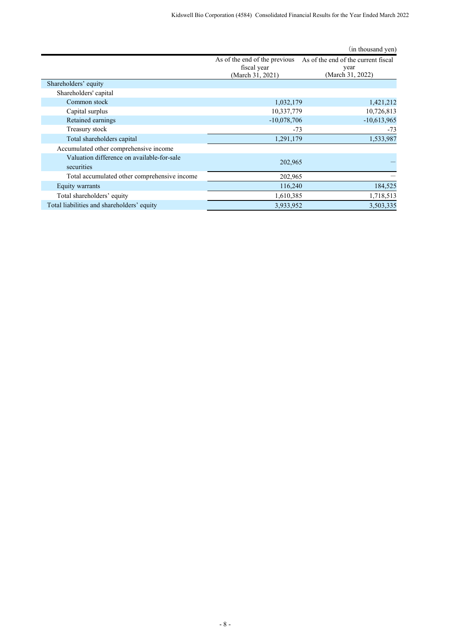|                                                          |                                                                  | (in thousand yen)                                               |
|----------------------------------------------------------|------------------------------------------------------------------|-----------------------------------------------------------------|
|                                                          | As of the end of the previous<br>fiscal year<br>(March 31, 2021) | As of the end of the current fiscal<br>year<br>(March 31, 2022) |
| Shareholders' equity                                     |                                                                  |                                                                 |
| Shareholders' capital                                    |                                                                  |                                                                 |
| Common stock                                             | 1,032,179                                                        | 1,421,212                                                       |
| Capital surplus                                          | 10,337,779                                                       | 10,726,813                                                      |
| Retained earnings                                        | $-10,078,706$                                                    | $-10,613,965$                                                   |
| Treasury stock                                           | $-73$                                                            | $-73$                                                           |
| Total shareholders capital                               | 1,291,179                                                        | 1,533,987                                                       |
| Accumulated other comprehensive income                   |                                                                  |                                                                 |
| Valuation difference on available-for-sale<br>securities | 202,965                                                          |                                                                 |
| Total accumulated other comprehensive income             | 202,965                                                          |                                                                 |
| Equity warrants                                          | 116,240                                                          | 184,525                                                         |
| Total shareholders' equity                               | 1,610,385                                                        | 1,718,513                                                       |
| Total liabilities and shareholders' equity               | 3,933,952                                                        | 3,503,335                                                       |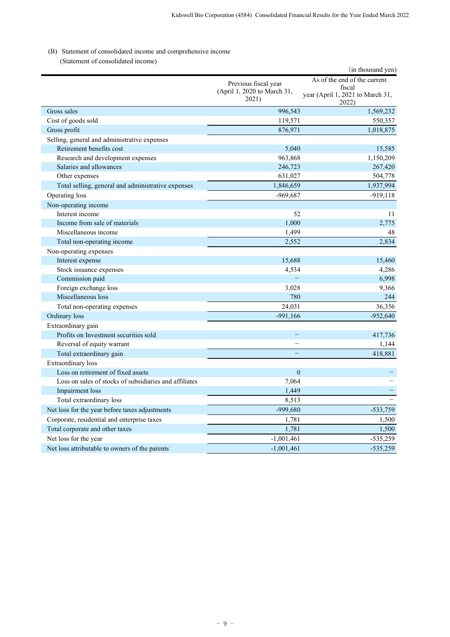# (B) Statement of consolidated income and comprehensive income

(Statement of consolidated income)

| ratement of consonance medine                          |                                                              | (in thousand yen)                                                                   |
|--------------------------------------------------------|--------------------------------------------------------------|-------------------------------------------------------------------------------------|
|                                                        | Previous fiscal year<br>(April 1, 2020 to March 31,<br>2021) | As of the end of the current<br>fiscal<br>year (April 1, 2021 to March 31,<br>2022) |
| Gross sales                                            | 996,543                                                      | 1,569,232                                                                           |
| Cost of goods sold                                     | 119,571                                                      | 550,357                                                                             |
| Gross profit                                           | 876,971                                                      | 1,018,875                                                                           |
| Selling, general and administrative expenses           |                                                              |                                                                                     |
| Retirement benefits cost                               | 5.040                                                        | 15,585                                                                              |
| Research and development expenses                      | 963,868                                                      | 1,150,209                                                                           |
| Salaries and allowances                                | 246,723                                                      | 267,420                                                                             |
| Other expenses                                         | 631,027                                                      | 504,778                                                                             |
| Total selling, general and administrative expenses     | 1,846,659                                                    | 1,937,994                                                                           |
| Operating loss                                         | $-969,687$                                                   | $-919,118$                                                                          |
| Non-operating income                                   |                                                              |                                                                                     |
| Interest income                                        | 52                                                           | 11                                                                                  |
| Income from sale of materials                          | 1.000                                                        | 2,775                                                                               |
| Miscellaneous income                                   | 1.499                                                        | 48                                                                                  |
| Total non-operating income                             | 2,552                                                        | 2,834                                                                               |
| Non-operating expenses                                 |                                                              |                                                                                     |
| Interest expense                                       | 15,688                                                       | 15,460                                                                              |
| Stock issuance expenses                                | 4,534                                                        | 4,286                                                                               |
| Commission paid                                        |                                                              | 6,998                                                                               |
| Foreign exchange loss                                  | 3,028                                                        | 9,366                                                                               |
| Miscellaneous loss                                     | 780                                                          | 244                                                                                 |
| Total non-operating expenses                           | 24,031                                                       | 36,356                                                                              |
| Ordinary loss                                          | $-991,166$                                                   | $-952,640$                                                                          |
| Extraordinary gain                                     |                                                              |                                                                                     |
| Profits on Investment securities sold                  | $\equiv$                                                     | 417,736                                                                             |
| Reversal of equity warrant                             |                                                              | 1,144                                                                               |
| Total extraordinary gain                               |                                                              | 418,881                                                                             |
| Extraordinary loss                                     |                                                              |                                                                                     |
| Loss on retirement of fixed assets                     | $\mathbf{0}$                                                 |                                                                                     |
| Loss on sales of stocks of subsidiaries and affiliates | 7,064                                                        |                                                                                     |
| Impairment loss                                        | 1,449                                                        |                                                                                     |
| Total extraordinary loss                               | 8,513                                                        |                                                                                     |
| Net loss for the year before taxes adjustments         | -999,680                                                     | $-533,759$                                                                          |
| Corporate, residential and enterprise taxes            | 1,781                                                        | 1,500                                                                               |
| Total corporate and other taxes                        | 1,781                                                        | 1,500                                                                               |
| Net loss for the year                                  | $-1,001,461$                                                 | $-535,259$                                                                          |
| Net loss attributable to owners of the parents         | $-1,001,461$                                                 | $-535,259$                                                                          |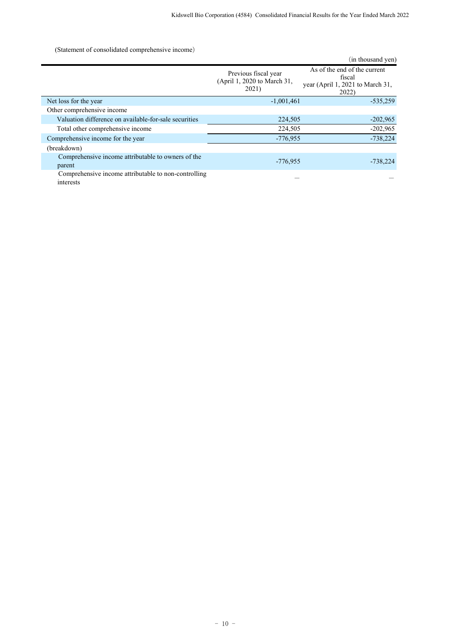(Statement of consolidated comprehensive income)

|                                                                   |                                                              | (in thousand yen)                                                                   |
|-------------------------------------------------------------------|--------------------------------------------------------------|-------------------------------------------------------------------------------------|
|                                                                   | Previous fiscal year<br>(April 1, 2020 to March 31,<br>2021) | As of the end of the current<br>fiscal<br>year (April 1, 2021 to March 31,<br>2022) |
| Net loss for the year                                             | $-1,001,461$                                                 | $-535,259$                                                                          |
| Other comprehensive income                                        |                                                              |                                                                                     |
| Valuation difference on available-for-sale securities             | 224,505                                                      | $-202,965$                                                                          |
| Total other comprehensive income                                  | 224,505                                                      | $-202,965$                                                                          |
| Comprehensive income for the year                                 | $-776,955$                                                   | $-738,224$                                                                          |
| (breakdown)                                                       |                                                              |                                                                                     |
| Comprehensive income attributable to owners of the<br>parent      | $-776,955$                                                   | $-738,224$                                                                          |
| Comprehensive income attributable to non-controlling<br>interests |                                                              |                                                                                     |